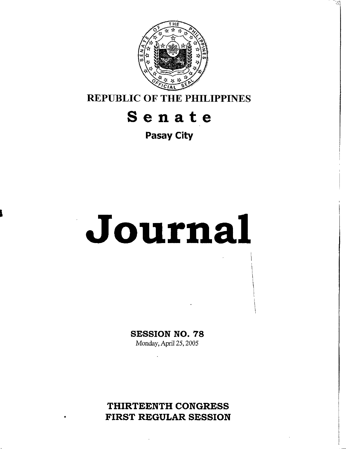

**REPUBLIC OF THE PHILIPPINES** 

# **Senate**

**Pasay City** 

# **Journal**

!

**SESSION NO.** *78*  Monday, **April** 25,2005

**THIRTEENTH CONGRESS FIRST REGULAR SESSION**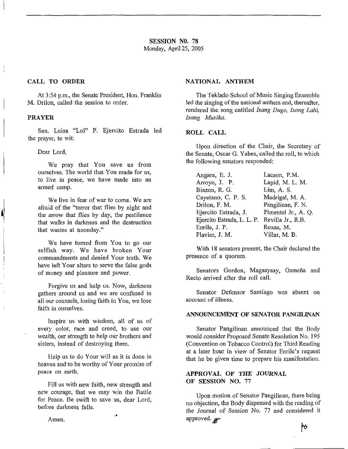# **CALL TO ORDER**

At 3:54 p.m., the Senate President, Hon. Franklin M. Drilon, called the session to order.

## **PRAYER**

 $\mathbb{I}$ 

I

Sen. Luisa "Loi" P. Ejercito Estrada led the prayer, to wit:

Dear Lord,

We pray that You save us from ourselves. The world that You made for us, to live in peace, we have made into an armed camp.

We live in fear of war to come. We are afraid of the "terror that flies by night and the arrow that flies by day, the pestilence that walks in darkness and the destruction that wastes at noonday."

We have turned from You to go our selfish way. We have broken Your commandments and denied Your truth. We have left Your altars to serve the false gods of money and pleasure and power.

Forgive us and help us. Now, darkness gathers around us and we are confused in all our counsels, losing faith in You, we lose faith in ourselves.

Inspire us with wisdom, all of us of every color, race and creed, to use our wealth, our strength to help our brothers and sisters, instead of destroying them.

Help us to do Your will as it is done in heaven and to be worthy of Your promise of peace on earth.

Fill us with new faith, new strength and new courage, that we may win the Battle for Peace. Be swift to save us, dear Lord, before darkness falls.

## **NATIONAL ANTHEM**

The Teklado School of Music Singing Ensemble led the singing of the national anthem and, thereafter, rendered the song entitled *Isang Dugo, Isang Lahi*, *hang Musiku.* 

# **ROLL CALL**

Upon direction of the Chair, the Secretary of the Senate, Oscar G. Yabes, called the roll, to which the following senators responded:

| Angara, E. J.              | Lacson, P.M.        |
|----------------------------|---------------------|
| Arroyo, J. P.              | Lapid, M. L. M.     |
| Biazon, R. G.              | Lim, A. S.          |
| Cayetano, C. P. S.         | Madrigal, M. A.     |
| Drilon, F. M.              | Pangilinan, F. N.   |
| Ejercito Estrada, J.       | Pimentel Jr., A. Q. |
| Ejercito Estrada, L. L. P. | Revilla Jr., R.B.   |
| Enrile, J. P.              | Roxas, M.           |
| Flavier, J. M.             | Villar, M. B.       |

With **18** senators present, the Chair declared the presence of a quorum.

Senators Gordon, Magsaysay, Osmeña and Recto arrived after the roll call.

Senator Defensor Santiago was absent on account of illness.

# **ANNOUNCEMENT OF SENATOR** PANGJLINAN

Senator Pangilinan announced that the Body would consider Proposed Senate Resolution No. 195 (Convention on Tobacco Control) for Third Reading at a later hour in view of Senator Enrile's request that he be given time to prepare his manifestation.

# **APPROVAL OF THE JOURNAL OF SESSION NO. 77**

Upon motion of Senator Pangilinan, there being no objection, the Body dispensed with the reading of the Journal of Session No. 77 and considered it approved. p<sup>o</sup><br>*W*<sup>*de*</sup> the *d*</sup>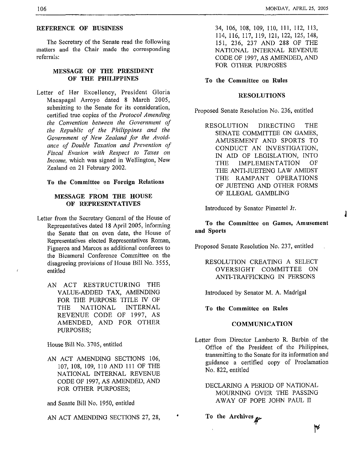#### REFERENCE OF BUSINESS

The Secretary of the Senate read the following matters and the Chair made the corresponding referrals:

# MESSAGE **OF** THE PRESIDENT **OF** THE PHILIPPINES

Letter of Her Excellency, President Gloria Macapagal Arroyo dated 8 March 2005, submitting to the Senate for its consideration, certified true copies of the *Protocol Amending the Convention between the Government of the Republic of the Philippines and the Government of New Zealand for the Avoidance of Double Taxation and Prevention of Fiscal Evasion with Respect to Taxes on Income,* which was signed in Wellington, New Zealand on 21 February 2002.

# **To** the Committee **on** Foreign Relations

# MESSAGE FROM THE HOUSE OF REPRESENTATIVES

- Letter from the Secretary General of the House of Representatives dated **18** April 2005, informing the Senate that on even date, the House of Representatives elected Representatives Roman, Figueroa and Marcos as additional conferees to the Bicameral Conference Committee on the disagreeing provisions of House Bill NO. 3555, entitled
	- AN ACT RESTRUCTURING THE VALUE-ADDED TAX, AMENDING FOR THE PURPOSE TITLE IV OF THE NATIONAL INTERNAL REVENUE CODE OF 1997, AS AMENDED, AND FOR OTHER PURPOSES;

House Bill No. 3705, entitled

AN ACT AMENDING SECTIONS 106, 107, 108, 109, 110 AND 111 OF THE NATIONAL INTERNAL REVENUE CODE OF 1997, AS AMENDED, AND FOR OTHER PURPOSES;

and Senate Bill No. 1950, entitled

AN ACT AMENDING SECTIONS 27, 28,

34, 106, 108, 109, 110, **<sup>11</sup>1,** 112, 113, 114, 116, 117, 119, 121, 122, 125, 148, 151, 236, 237 AND 288 OF THE NATIONAL INTERNAL REVENUE CODE OF 1997, AS AMENDED, AND FOR OTHER PURPOSES

#### To the Committee **on** Rules

#### RESOLUTIONS

Proposed Senate Resolution No. 236, entitled

RESOLUTION DIRECTING THE SENATE COMMITTEE ON GAMES, AMUSEMENT AND SPORTS TO CONDUCT AN INVESTIGATION, IN AID OF LEGISLATION, INTO THE IMPLEMENTATION OF THE ANTI-JUETENG LAW AMIDST THE RAMPANT OPERATIONS OF JUETENG AND OTHER FORMS OF ILLEGAL GAMBLING

Introduced by Senator Pimentel Jr.

**To** the Committee **on** Games, Amusement **and** Sports

Proposed Senate Resolution No. 237, entitled

RESOLUTION CREATNG A SELECT OVERSIGHT COMMITTEE ON ANTI-TRAFFICKING IN PERSONS

Introduced by Senator M. A. Madrigal

To the Committee **on** Rules

#### COMMUNICATION

- Letter from Director Lamberto R. Barbin of the Office of the President of the Philippines, transmitting to the Senate for its information and guidance a certified copy of Proclamation No. 822. entitled
	- DECLARING A PERIOD OF NATIONAL MOURNING OVER THE PASSING AWAY OF POPE JOHN PAUL I1
	- To the Archives **P**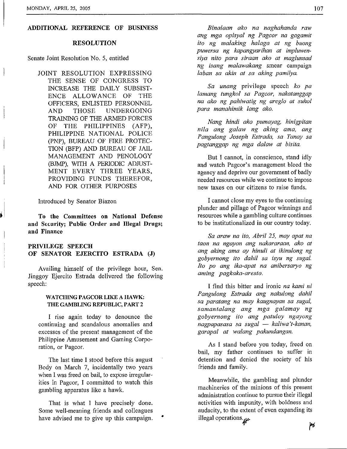#### **ADDITIONAL mFERENCE OF BUSINESS**

#### **RESOLUTION**

Senate Joint Resolution No. 5, entitled

JOINT RESOLUTION EXPRESSING THE SENSE OF CONGRESS TO ENCE ALLOWANCE OF THE OFFICERS, ENLISTED PERSONNEL AND THOSE UNDERGOING TRAINING OF THE ARMED FORCES OF THE PHILIPPINES (AFP), PHILIPPINE NATIONAL POLICE TION (BFP) AND BUREAU OF JAIL MANAGEMENT AND PENOLOGY MENT EVERY THREE YEARS, PROVIDING FUNDS THEREFOR, AND FOR OTHER PURPOSES INCREASE THE DAILY SUBSIST- (PNP), BUREAU OF FIRE PROTEC- (BJMP), WITH A PERIODIC ADJUST-

Introduced by Senator Biazon

**To the Committees on National Defense and Security; Public Order and** Illegal **Drugs; and Finance** 

# **PRIVILEGE SPEECH OF SENATOR EJERCITO ESTRADA (J)**

Availing himself of the privilege hour, Sen. Jinggoy Ejercito Estrada delivered the following speech:

#### **WATCHING PAGCOR LIKE A HAWK THE GAMBLING REPUBLIC, PART 2**

I rise again today to denounce the continuing and scandalous anomalies and excesses of the present management of the Philippine Amusement and Gaming Corporation, or Pagcor.

The last time I stood before this august Body on March 7, incidentally two years when I was freed on bail, to expose irregularities in Pagcor, I committed to watch this gambling apparatus like a hawk.

That is what I have precisely done. Some well-meaning friends and colleagues have advised me to give up this campaign.

*Binalaan ako na naghahanda raw ang mga opisyal ng Pagcor na gagamit ito ng malaking halaga at ng buong puwersa ng kapangyarihan at impluwensiya nito para siraan ako at maglunsad ng isang malawakang* smear campaign *laban sa akin at sa aking pamilya.* 

*Sa unang* privilege speech *ko pa lamang tungkol sa Pagcor, nakatanggap na ako ng pahiwatig ng areglo at suhol para manahimik lang ako.* 

*Nang hindi ako pumayug, hinigpitan nila ang galaw ng aking ama, ang Pangulong Joseph Estrada, sa Tanay sa pagtunggap ng mga dalaw at bisita.* 

But I cannot, in conscience, stand idly and watch Pagcor's management bleed the agency and deprive our government of badly needed resources while we continue to impose new taxes on our citizens to raise funds.

I cannot close my eyes to the continuing plunder and pillage of Pagcor winnings and resources while a gambling culture continues to be institutionalized in our country today.

*Sa araw na ito. Abril 25, may apat nu taon na ngayon ang nakuraraan, ako at ang aking ama ay hinuli at ikinulong ng gobyernong ito dahil sa isyu ng sugal. It0 po ang ika-apat na anibersaryo ng aming pagkaka-aresto.* 

I find this bitter and ironic *na kami ni Pangulong Estrada ang nakulong dahil sa paratang na may kaugnayan sa sugal, samantulang ang mga galamay ng gobyernong ito ang patuloy ngayong*  ramantatang ang mga gatamay ng<br>gobyernong ito ang patuloy ngayong<br>nagpapasasa sa sugal — kaliwa't-kanan, *garapal at walang pakundangan.* 

As I stand before yon today, freed on bail, my father continues to suffer in detention and denied the society of his friends and family.

Meanwhile, the gambling and plunder machineries of the minions of this present administration continue to pursue their illegal activities with impunity, with boldness and audacity, to the extent of even expanding its illegal operations.  $\mu$  *Pb*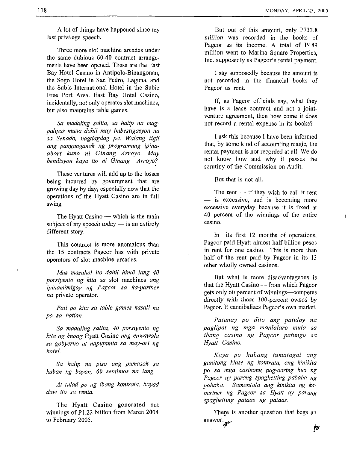A lot of things have happened since my last privilege speech.

Three more slot machine arcades under the same dubious 60-40 contract arrangements have been opened. These are the East Bay Hotel Casino in Antipolo-Binangonan, the Sogo Hotel in San Pedro, Laguna, and the Subic International Hotel in the Subic Free Port Area. East Bay Hotel Casino, incidentally, not only operates slot machines, but also maintains table games.

*Sa madaling salita, sa halip na magpalipas muna dahil may imbestigasyon na sa Senado, nagdagdag pa. Walang tigil ang panganganak ng programang ipinaabort kuno ni Ginang Arroyo. May bendisyon kava ito ni Ginang Arroyo?* 

These ventures will add up to the losses being incurred by government that are growing day by days especially now that the operations of the Hyatt Casino are in full swing.

The Hyatt Casino  $-$  which is the main subject of my speech today  $-$  is an entirely different story.

'This contract is more anomalous than the 15 contracts Pagcor has with private operators of slot machine arcades.

*Mas masahol ito dahil hindi lang 40 porsiyento ng kita sa* slot machines *ang ipinamimigay ng Pagcor sa ka-partner na* private operator.

*Pati PO kita sa table games kasali na po sa hatian.* 

*Sa madding sulita, 40 porsiyento ng kita ng buong* Hyatt Casino *ang tzawawula sa gobyerno at napupunta sa may-ari ng hotel.* 

*Sa halip na piso ang pumasok sa kaban ng bayan,* 60 *sentimos na lang.* 

*At tulad po ng ibang kontruta, bayad daw ito sa renta.* 

The Hyatt Casino generated net winnings of P1.22 billion from March 2004 to February 2005.

But out of this amount, only P733.8 million was recorded in the books of Pagcor as its income. A total of P489 million went to Marina Square Properties, Inc. supposedly as Pagcor's rental payment.

I say supposedly because the amount is not recorded in the financial books of Pagcor as rent.

If, as Pagcor officials say, what they have is a lease contract and not a jointventure agreement, then how come it does not record a rental expense in its boolts?

I ask this because I have been informed that, by some kind of accounting magic, the rental payment is not recorded at all. We do not know how and why it passes the scrutiny of the Commission on Audit.

But that is not all.

The rent  $-$  if they wish to call it rent - is excessive, and is becoming more excessive everyday because it is fixed at casino. 40 percent of the winnings of the entire

In its first 12 months of operations, Pagcor paid Hyatt ahnost half-billion pesos in rent for one casino. This is more than half of the rent paid by Pagcor in its 13 other wholly owned casinos.

But what is more disadvantageous is that the Hyatt Casino — from which Pagcor gets only **60** percent of winnings-competes directly with those 100-percent owned by Pagcor. It cannibalizes Pagcor's own market.

*Patunay po dito ang patuloy na paglipat ng mga manlalaro nzula sa ibang casino ng Pagcor patungo sa Hyatt Casino.* 

*Kaya po habang tumatagal ang ganitong klase ng kontrata, ang kinikita PO sa mga casinong pag-aaring huo ng Pagcor ay parang spaghetting pabaha ng pababa. Sumantala ang kinikita ng kapartner ng Pagcor sa Hyatt ay parang spaghetting pataas ng pataas.* 

There is another question that begs an answer. $\mu$ 

|r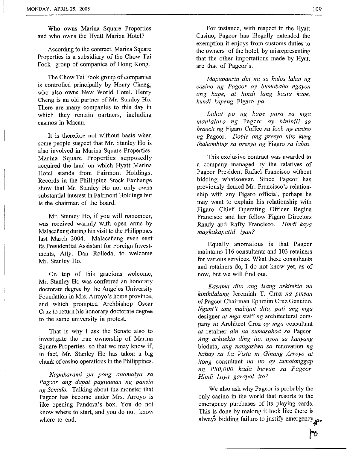Who owns Marina Square Properties and who owns the Hyatt Marina Hotel?

According to the contract, Marina Square Properties is a subsidiary of the Chow Tai Fook group of companies of Hong Kong.

The Chow Tai Fook group of companies is controlled principally by Henry Cheng, who also owns New World Hotel. Henry Cheng is an old partner of Mr. Stanley Ho. There are many companies to this day in which they remain partners, including casinos in Macau.

It is therefore not without basis when some people suspect that Mr. Stanley Ho is also involved in Marina Square Properties. Marina Square Properties supposedly acquired the land on which Hyatt Marina Hotel stands from Fairmont Holdings. Records in the Philippine Stock Exchange show that Mr. Stanley Ho not only owns substantial interest in Fairmont Holdings but is the chairman of the board.

Mr. Stanley Ho, if you will remember, was received warmly with open arms by Malacañang during his visit to the Philippines last March 2004. Malacañang even sent its Presidential Assistant for Foreign Investments, Atty. Dan Rolleda, to welcome Mr. Stanley Ho.

On top of this gracious welcome, Mr. Stanley Ho was conferred an honorary doctorate degree by the Angeles University Foundation in Mrs. Arroyo's home province, and which prompted Archbishop Oscar Cruz to return his honorary doctorate degree to the same university in protest.

That is why **I** ask the Senate also to investigate the true ownership of Marina Square Properties so that we may know if, in fact, Mr. Stanley Ho has taken a big chunk of casino operations in the Philippines.

*Napakaranii pa pong anomalya sa Pugcor ang dapat pagtuunan ng pansin ng Senado.* Talking about the monster that Pagcor has become under Mrs. Arroyo is like opening Pandora's box. You do not know where to start, and you do not know where to end.

For instance, with respect to the Hyatt Casino, Pagcor has illegally extended the exemption it enjoys from customs duties to the owners of the hotel, by misrepresenting that the other importations made by Hyatt are that of Pagcor's.

*Mapapansin din na sa hulos lahat ng casino ng Pagcov ay bumabaha ngayon ang kape, at hindi lang basta kape, kundi kapeng* Figaro *pa.* 

*Lahat PO ng kape para sa mga manlalaro ng* Pagcor *ay binibili sa branch ng* Figaro Coffee *sa loob ng casino ng* Pagcor. *Doble ang presyo nito kung ihahambing sa presyo ng* Figaro *sa labas.* 

This exclusive contract was awarded to a company managed by the relatives of Pagcor President Rafael Francisco without bidding whatsoever. Since Pagcor has previously denied Mr. Francisco's relationship with any Figaro official, perhaps he may want to explain his relationship with Figaro Chief Operating Officer Regina Francisco and her fellow Figaro Directors Randy and Raffy Francisco. *Hindi kaya magkakaputid iyan?* 

Equally anomalous is that Pagcor maintains 116 consultants and 103 retainers for various services. What these consultants and retainers do, **I** do not know yet, as of now, but we will find out.

*Kasama dit0 ang isang arkitekto na kinikilalang* Jeremiah T. Cruz *na pinsan ni* Pagcor Chairman Ephraim Cruz Genuino. *Nguni't ang mabigat dito, pati ang mga*  designer *at mga* staff *ng* architectural company *ni* Architect Cruz *ay mga* consultant *at* retainer *din na sumasahod sa* Pagcor. *Ang arkitekto ding ito, ayon sa kanyang*  biodata, *ang nangasiwa sa* renovation *ng bahay sa La Vista ni Ginang Arroyo at itong* consultant *na ito ay tumatanggap ng P80,OOO kada buwan sa Pagcor. Hindi kuya gurapal ito?* 

We also ask why Pagcor is probably the only casino in the world that resorts to the emergency purchases of its playing cards. This is done by making it look like there is alway's bidding failure to justify emergency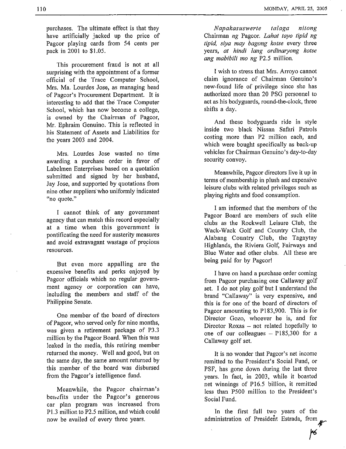purchases, The ultimate effect is that they have artificially jacked up the price of Pagcor playing cards from 54 cents per pack in 2001 to \$1.05.

This procurement fraud is not at all surprising with the appointment of a former official of the Trace Computer School, Mrs. Ma. Lourdes Jose, as managing head of Pagcor's Procurement Department. It is interesting to add that the Trace Computer School, which has now become a college, is owned by the Chairman of Pagcor, Mr. Ephraim Genuino. This is reflected in his Statement of Assets and Liabilities for the years 2003 and 2004.

Mrs. Lourdes Jose wasted no time awarding a purchase order in favor of Labelmen Enterprises based on a quotation submitted and signed by her husband, Jay Jose, and supported by quotations from nine other suppliers'who uniformly indicated "no quote."

I cannot think of any government agency that can match this record especially at a time when this government is pontificating the need for austerity measures and avoid extravagant wastage of precious resources.

But even more appalling are the excessive benefits and perks enjoyed by Pagcor officials which no regular government agency or corporation can have, including the members and staff of the Philippine Senate.

One member of the board of directors of Pagcor, who served only for nine months, was given a retirement package of P3.3 million by the Pagcor Board. When this was leaked in the media, this retiring member returned the money. Well and good, but on the same day, the same amount returned by this member of the board was disbursed from the Pagcor's intelligence fund.

Meanwhile, the Pagcor chairman's benefits under the Pagcor's generous car plan program was increased from P1.3 million to P2.5 million, and which could now be availed of every three years.

*Napakasuswerte talaga nitong*  Chairman *ng* Pagcor. *Lahat tayo tipid ng tipid, siya may bagong kotse* every three years, *at hindi lang ordinaryong kotse ang mabibili mo ng* P2.5 million.

I wish to stress that Mrs. Arroyo cannot claim ignorance of Chairman Genuino's new-found life of privilege since she has authorized more than 20 PSG personnel to act as his bodyguards, round-the-clock, three shifts a day.

And these bodyguards ride in style inside two black Nissan Safari Patrols costing more than P2 million each, and which were bought specifically as back-up vehicles for Chairman Genuino's day-to-day security convoy.

Meanwhile, Pagcor directors live it up in terms of membership in plush and expensive leisure clubs with related privileges such as playing rights and food consumption.

I am informed that the members of the Pagcor Board are members of such elite clubs as the Rockwell Leisure Club, the Wack-Wack Golf and Country Club, the Alabang Country Club, the Tagaytay Highlands, the Riviera Golf, Fairways and Blue Water and other clubs. All these are being paid for by Pagcor!

I have on hand a purchase order coming from Pagcor purchasing one Callaway golf set. I do not play golf but I understand the brand "Callaway" is very expensive, and this is for one of the board of directors of Pagcor amounting to P183,900. This is for Director Gozo, whoever he is, and for Director Roxas – not related hopefully to one of our colleagues  $-$  P185,300 for a Callaway golf set.

It is no wonder that Pagcor's net income remitted to the President's Social Fund, or PSF, has gone down during the last three years. In fact, in 2003, while it boasted net winnings of P16.5 billion, it remitted less than P500 million to the President's Social Fund.

In the first full two years of the administration of President Estrada, from<br>**74**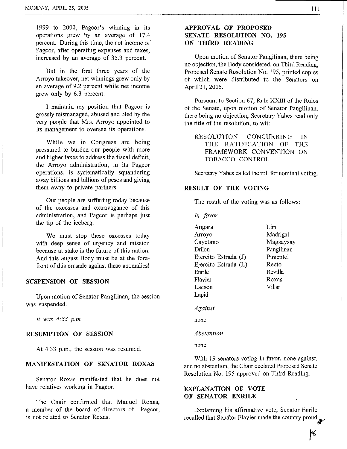1999 to 2000, Pagcor's winning in its operations grew by an average of 17.4 percent. During this time, the net income of Pagcor, after operating expenses and taxes, increased by an average of 35.3 percent.

But in the first three years of the Arroyo takeover, net winnings grew only by an average of 9.2 percent while net income grew only by *6.3* percent.

I maintain my position that Pagcor is grossly mismanaged, abused and bled by the very people that Mrs. Arroyo appointed to its management to oversee its operations.

While we in Congress are being pressured to burden our people with more and higher taxes to address the fiscal deficit, the Arroyo administration, in its Pagcor operations, is systematically squandering away billions and billions of pesos and giving them away to private partners.

Our people are suffering today because of the excesses and extravagance of this administration, and Pagcor is perhaps just the tip of the iceberg.

We must stop these excesses today with deep sense of urgency and mission because at stake is the future of this nation. And this august Body must be at the forefront of this crusade against these anomalies!

#### **SUSPENSION OF SESSION**

Upon motion of Senator Pangilinan, the session was suspended.

*It was 4:33 p.m* 

#### **RESUMPTION OF SESSION**

At 4:33 p.m., the session was resumed.

#### **MANIFESTATION OF SENATOR ROXAS**

Senator Roxas manifested that he does not have relatives working in Pagcor.

The Chair confirmed that Manuel Roxas, a member of the board of directors of Pagcor, is not related to Senator Roxas.

# **APPROVAL OF PROPOSED SENATE RESOLUTION NO. 195 ON THIRD READING**

Upon motion of Senator Pangilinan, there being no objection, the Body considered, on Third Reading, Proposed Senate Resolution No. 195, printed copies of which ,were distributed to the Senators on April 21,2005.

Pursuant to Section *67,* Rule XXIII of the Rules of the Senate, upon motion of Senator Pangilinan, there being no objection, Secretary Yabes read only the title of the resolution, to wit:

RESOLUTION CONCURRING IN THE RATIFICATION OF THE FRAMEWORK CONVENTION ON TOBACCO CONTROL.

Secretary Yabes called the roll for nominal voting.

#### **RESULT OF THE VOTING**

The result of the voting was as follows:

*In favor*  Angara Arroyo Cayetano Drilon Ejercito Estrada (J) Ejercito Estrada (L) Enrile Flavier Lacson Lapid Lim Madrigal **Magsaysay** Pangilinan Pimentel Recto Revilla Roxas Villar *Against*  none

*Abstention* 

none

With 19 senators voting in favor, none against, and no abstention, the Chair declared Proposed Senate Resolution No. 195 approved on Third Reading.

# **EXPLANATION OF VOTE OF SENATOR ENRILE**

Explaining his affirmative vote, Senator Enrile recalled that Senator Flavier made the country proud

K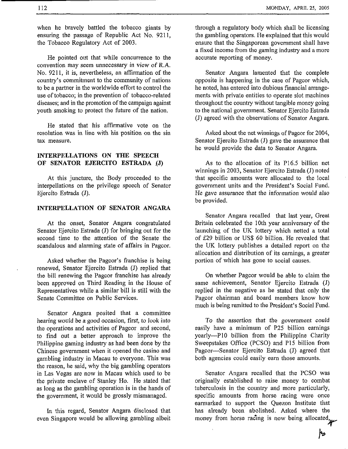when he bravely battled the tobacco giants by ensuring the passage of Republic Act No. 9211, the Tobacco Regulatory Act of 2003.

He pointed out that while concurrence to the convention may seem unnecessary in view of R.A. No. 9211, it is, nevertheless, an affirmation of the country's commitment to the community of nations to be a partner in the worldwide effort to control the use of tobacco; in the prevention of tobacco-related diseases; and in the promotion of the campaign against youth smoking to protect the future of the nation.

He stated that his affirmative vote on the resolution was in line with his position on the sin tax measure.

# **INTERPELLATIONS ON THE SPEECH OF SENATOR EJERCITO ESTRADA .(J)**

At this juncture, **the** Body proceeded to the interpellations on the privilege speech of Senator Ejercito Estrada (J).

# **INTERPELLATION OF SENATOR ANGARA**

At the onset, Senator Angara congratulated Senator Ejercito Estrada (J) for bringing out for the second time to the attention of the Senate the scandalous and alarming state of affairs in Pagcor.

Asked whether the Pagcor's franchise is being renewed, Senator Ejercito Estrada (J) replied that the bill renewing the Pagcor franchise has already been approved on Third Reading in the House of Representatives while a similar bill is still with the Senate Committee on Public Services.

Senator Angara posited that a committee hearing would be a good occasion, first, to look into the operations and activities of Pagcor and second, to find out a better approach to improve the Philippine gaming industry as had been done by the Chinese government when it opened the casino and gambling industry in Macau to everyone. This was the reason, he said, why the big gambling operators in Las Vegas are now in Macau which used to be the private enclave of Stanley Ho. He stated that as long as the gambling operation is in the hands of the government, it would be grossly mismanaged.

In this regard, Senator Angara disclosed that even Singapore would be allowing gambling albeit through a regulatory body which shall be licensing the gambling operators. He explained that this would ensure that the Singaporean government shall have a fixed income from the gaming industry and a more accurate reporting of money.

Senator Angara lamented that the complete opposite is happening in the case of Pagcor which, he noted, has entered into dubious financial arrangements with private entities to operate slot machines throughout the country without tangible money going to the national government. Senator Ejercito Estrada (J) agreed with the observations of Senator Angara.

Asked about the net winnings of Pagcor for 2004, Senator Ejercito Estrada **(J)** gave the assurance that he would provide the data to Senator Angara.

As to the allocation of its P16.5 billion net winnings in 2003, Senator Ejercito Estrada (J) noted that specific amounts were allocated to the local government units and the President's Social Fund. He gave assurance that the information would also be provided.

Senator Angara recalled that last year, Great Britain celebrated the 10th year anniversary of the launching of the UK lottery which netted a total of 629 billion or US\$ 60 billion. He revealed that the UK lottery publishes a detailed report on the allocation and distribution of its earnings, a greater portion of which has gone to social causes.

On whether Pagcor would be able to claim the same achievement, Senator Ejercito Estrada (J) replied in the negative as he stated that only the Pagcor chairman and board members know how much is being remitted to the President's Social Fund.

To the assertion that tho government could easily have a minimum of P25 billion earnings yearly-PI0 billion from the Philippine Charity Sweepstakes Office (PCSO) and P15 billion from Pagcor-Senator Ejercito Estrada (J) agreed that both agencies could easily earn those amounts.

Senator Angara recalled that the PCSO was originally established to raise money to combat tuberculosis in the country and more particularly, specific amounts from horse racing were once earmarked to support the Quezon Institute that has already been abolished. Asked where the money from horse racing is now being allocated,

 $h_{\phi}$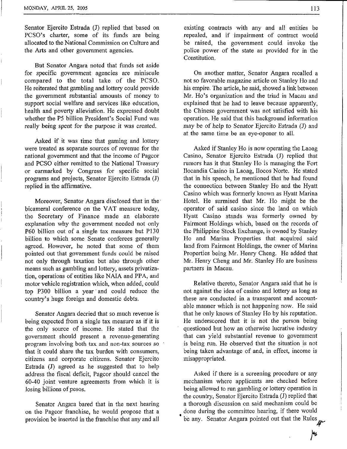Senator Ejercito Estrada (J) replied that based on PCSO's charter, some of its funds are being allocated to the National Commission on Culture and the Arts and other government agencies.

But Senator Angara noted that funds set aside for specific government agencies are miniscule compared to the total take of the PCSO. He reiterated that gambling and lottery could provide the government substantial amounts of money to support social welfare and services like education, health and poverty alleviation. He expressed doubt whether the P5 billion President's Social Fund was really being spent for the purpose it was created.

Asked if it was time that gaming and lottery were treated as separate sources of revenue for the national government and that the income of Pagcor and PCSO either remitted to the National Treasury or earmarked by Congress for specific social programs and projects, Senator Ejercito Estrada (J) replied in the affirmative.

Moreover, Senator Angara disclosed that in the bicameral conference on the VAT measure today, the Secretary of Finance made an elaborate explanation why the government needed not only P60 billion out of a single tax measure but P130 billion to which some Senate conferees generally agreed. However, he noted that some of them pointed out that government funds could be raised not only through taxation but also through other means such as gambling and lottery, assets privatization, operations of entities like NAIA and PPA, and motor vehicle registration which, when added, could top P300 billion a year'and could reduce the country's huge foreign and domestic debts.

Senator Angara decried that so much revenue is being expected from a single tax measure as if it is the only source of income. He stated that the government should present a revenue-generating program involving both tax and non-tax sources so that it could share the tax burden with consumers, citizens and corporate citizens. Senator Ejercito Estrada (J) agreed as he suggested that to help address the fiscal deficit, Pagcor should cancel the 60-40 joint venture agreements from which it is losing billions of pesos.

Senator Angara bared that in the next hearing on the Pagcor franchise, he would propose that a provision be inserted in the franchise that any and all

existing contracts with any and all entities be repealed, and if impairment of contract would be raised, the government could invoke the police power of the state as provided for in the Constitution.

On another matter, Senator Angara recalled a not so favorable magazine article on Stanley Ho and his empire. The article, he said, showed a link between Mr. Ho's organization and the triad in Macau and explained that he had to leave because apparently, the Chinese government was not satisfied with his operation. He said that this background information may be of help to Senator Ejercito Estrada (J) and at the same time be an eye-opener to all.

Asked if Stanley Ho is now operating the Laoag Casino, Senator Ejercito Estrada (J) replied that rumors has it that Stanley Ho is managing the Fort Ilocandia Casino in Laoag, Ilocos Norte. He stated that in his speech, he mentioned that he had found the connection between Stanley Ho and the Hyatt Casino which was formerly known as Hyatt Marina Hotel. He surmised that Mr. Ho might be the operator of said casino since the land on which Hyatt Casino stands was formerly owned by Fairmont Holdings which, based on the records of the Philippine Stock Exchange, is owned by Stanley Ho and Marina Properties that acquired said land from Fairmont Holdings, the owner of Marina Properties being Mr. Henry Cheng. He added that Mr. Henry Cheng and Mr. Stanley Ho are business partners in Macau.

Relative thereto, Senator Angara said that he is not against the idea of casino and lottery as long as these are conducted in a transparent and accountable manner which is not happening now. He said that he only knows of Stanley Ho by his reputation. He underscored that it is not the person being questioned but how an otherwise lucrative industry that can yield substantial revenue to government is being run. He observed that the situation is not being taken advantage of and, in effect, income is misappropriated.

Asked if there is a screening procedure or any mechanism where applicants are checked before being allowed to run gambling or lottery operation in the country, Senator Ejercito Estrada (J) replied that a thorough discussion on said mechanism could be done during the committee hearing, if there would be any. Senator Angara pointed out that the Rules

|46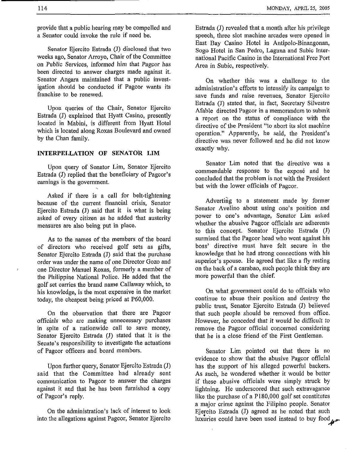provide that a public bearing may be compelled and a Senator could invoke the rule if need be.

Senator Ejercito Estrada (J) disclosed that two weeks ago, Senator Arroyo, Chair of the Committee on Public Services, informed him that Pagcor has been directed to answer charges made against it. Senator Angara maintained that a public investigation should be conducted if Pagcor wants its franchise to be renewed.

Upon queries of the Chair, Senator Ejercito Estrada (J) explained that Hyatt Casino, presently located in Mabini, is different from Hyatt Hotel which is located along Roxas Boulevard and owned by the Chan family.

#### **INTERPELLATION OF SENATOR LIM**

Upon query of Senator Lim, Senator Ejercito Estrada (J) replied that the beneficiary of Pagcor's earnings is the government.

Asked if there is a call for belt-tightening because of the current financial crisis, Senator Ejercito Estrada (J) said that it is what is being asked of every citizen as he added that austerity measures **are** also being put in place.

**As** to the names of the members of the board of directors who received golf sets as gifts, Senator Ejercito Estrada (J) said that the purchase order was under the name of one Director Gozo and one Director Manuel **Roxas,** formerly a member of the Philippine National Police. He added that the golf set carries the brand name Callaway which, to his knowledge, is the most expensive in the market today, the cheapest being priced at P60,OOO.

On the observation that there are Pagcor officials who are making unnecessary purchases in spite of a nationwide call to save money, Senator Ejercito Estrada (J) stated that it is the Senate's responsibility to investigate the actuations of Pagcor officers and board members.

Upon further query, Senator Ejercito Estrada (J) said that the Committee had already sent communication to Pagcor to answer the charges against it and that he has been furnished a copy of Pagcor's reply.

On the administration's lack of interest to look into the allegations against Pagcor, Senator Ejercito Estrada (J) revealed that a month after his privilege speech, three slot machine arcades were opened in East Bay Casino Hotel in Antipolo-Binangonan, Sogo Hotel in San Pedro, Laguna and Subic International Pacific Casino in the International Free Port Area in Subic, respectively.

On whether this was a challenge to the administration's efforts to intensify its campaign to save funds and raise revenues, Senator Ejercito Estrada (J) stated that, in fact, Secretary Silvestre Afable directed Pagcor in a memorandum to submit a report on the status of compliance with the directive of the President "to abort its slot machine operation." Apparently, he said, the President's directive was never followed and he did not know exactly why.

Senator Lim noted that the directive was a commendable response to the exposé and he concluded that the problem is not with the President but with the lower officials of Pagcor.

Adverting to a statement made by former Senator Avelino about using one's position and power to one's advantage, Senator Lim asked whether the abusive Pagcor officials are adherents to this concept. Senator Ejercito Estrada (J) surmised that the Pagcor head who went against his boss' directive must have felt secure in the knowledge that he had strong connections with his superior's spouse. He agreed that like a fly resting on the back of a carabao, such people think they are more powerful than the chief.

On what government could do to officials who continue to abuse their position and destroy the public trust, Senator Ejercito Estrada (J) believed that such people should be removed from office. However, he conceded that it would be difficult to remove the Pagcor official concerned considering that he is a close friend of the First Gentleman.

Senator Lim pointed out that there is no evidence to show that the abusive Pagcor official has the support of his alleged powerful backers. As such, he wondered whether it would be better if these abusive officials were simply struck by lightning. He underscored that such extravagance like the purchase of a P180,OOO golf set constitutes a major crime against the Filipino people. Senator Ejercito Estrada (J) agreed as he noted that such luxuries could have been used instead to buy food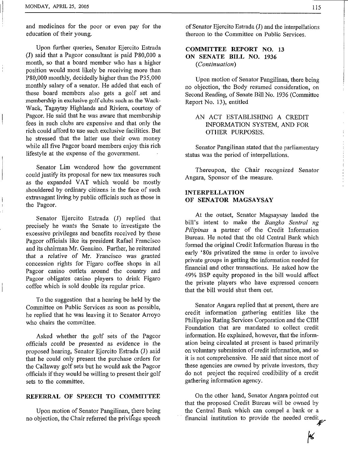I

I

I I and medicines for the poor or even pay for the education of their young.

Upon further queries, Senator Ejercito Estrada **(J)** said that a Pagcor consultant is paid P80,OOO a month, so that a board member who has a higher position would most likely be receiving more than P80,OOO monthly, decidedly higher than the P35,OOO monthly salary of a senator. He added that each of these hoard members also gets a golf set and membership in exclusive golf clubs such as the Wack-Wack, Tagaytay Highlands and Riviera, courtesy of Pagcor. He said that he was aware that membership fees in such clubs are expensive and that only the rich could afford to use such exclusive facilities. But he stressed that the latter use their own money while all five Pagcor board members enjoy this rich lifestyle at the expense of the government.

Senator Lim wondered how the government could justify its proposal for new tax measures such as the expanded VAT which would be mostly shouldered by ordinary citizens in the face of such extravagant living by public officials such as those in the Pagcor.

Senator Ejercito Estrada (J) replied that precisely he wants the Senate to investigate the excessive privileges and benefits received by these Pagcor officials like its president Rafael Francisco and its chairman Mr. Genuino. Further, he reiterated that a relative of Mr. Francisco was granted concession rights for Figaro coffee shops in all Pagcor casino outlets around the country and Pagcor obligates casino players to drink Figaro coffee which is sold double its regular price.

To the suggestion that a hearing be held by the Committee on Public Services as soon as possible, he replied that he was leaving it to Senator Arroyo who chairs the committee.

Asked whether the golf sets of the Pagcor officials could be presented as evidence in the proposed hearing, Senator Ejercito Estrada (J) said that he could only present the purchase orders for the Callaway golf sets but he would ask the Pagcor officials if they would be willing to present their golf sets to the committee.

# **REFERRAL OF SPEECH TO COMMITTEE**

Upon motion of Senator Pangilinan, there being no objection, the Chair referred the privifege speech of Senator Ejercito Estrada (J) and the interpellations thereon to the Committee on Public Services,

# **COMMITTEE REPORT NO. 13 ON SENATE BILL NO. 1936**

*(Continuation)* 

Upon motion of Senator Pangilinan, there being no objection, the Body resumed consideration, on Second Reading, of Senate Bill No. 1936 (Committee Report No. **13),** entitled

# AN ACT ESTABLISHING A CREDIT INFORMATION SYSTEM, AND FOR OTHER PURPOSES.

Senator Pangilinan stated that the parliamentary status was the period of interpellations.

Thereupon, the Chair recognized Senator Angara, Sponsor of the measure.

# **INTERPELLATION OF SENATOR MAGSAYSAY**

At the outset, Senator Magsaysay lauded the hill's intent to make the *Bangko Sentral ng Pilipinas* a partner of the Credit Information Bureau. He noted that the old Central Bank which formed the original Credit Information Bureau in the early '80s privatized the same in order to involve private groups in getting the information needed for financial and other transactions, He asked how the 49% BSP equity proposed in the bill would affect the private players who have expressed concern that the bill would shut them out.

Senator Angara replied that at present, there are credit information gathering entities like the Philippine Rating Services Corporation and the CIBI Foundation that are mandated to collect credit information. He explained, however, that the information being circulated at present is based primarily on voluntary submission of credit information, and so it is not comprehensive. He said that since most of these agencies are owned by private investors, they do not project the required credibility of a credit gathering information agency.

On the other hand, Senator Angara pointed out that the proposed Credit Bureau will be owned by the Central Bank which can compel a bank or a financial institution to provide the needed credit

K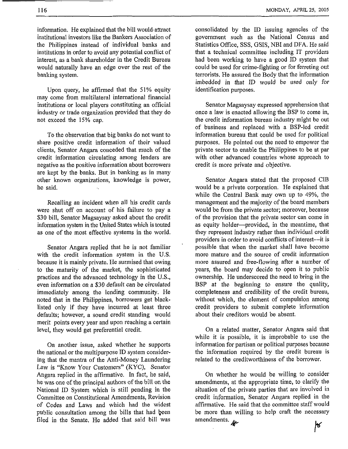information. He explained that the bill would-attract institutional investors like the Bankers Association of the Philippines instead of individual banks and institutions in order to avoid any potential conflict of interest, as a bank shareholder in the Credit Bureau would naturally have an edge over the rest of the banking system.

Upon query, he affirmed that the 51% equity may come from multilateral international financial institutions or local players constituting an official industry or trade organization provided that they do not exceed the 15% cap.

To the observation that big banks do not want to share positive credit information of their valued clients, Senator Angara conceded that much of the credit information circulating among lenders are negative as the positive information about borrowers are kept by the banks. But in banking as in many other known organizations, knowledge is power, he said.

Recalling an incident when all his credit cards were shut off on account of his failure to pay a **\$30** bill, Senator Magsaysay asked about the credit information system in the United States which is touted as one of the most effective systems in the world.

Senator Angara replied that he is not famiIiar with the credit information system in the U.S. because it is mainly private. He surmised that owing to the maturity of the market, the sophisticated practices and the advanced technology in the US., even information on a **\$30** default can be circulated immediately among the lending community. He noted that in the Philippines, borrowers get blacklisted only if they have incurred at least three defaults; however, a sound credit standing would merit points every year and upon reaching a certain level, they would get preferential credit.

On another issue, asked whether he supports the national or the multipurpose ID system considering that the mantra of the Anti-Money Laundering Law is "Know Your Customers" (KYC), Senator Angara replied in the affirmative. In fact, he said, he was one of the principal authors of the bill on the National ID System which is still pending in the Committee on Constitutional Amendments, Revision of Codes and Laws and which had the widest public consultation among the bills that had been filed in the Senate. He added that said bill was consolidated by the ID issuing agencies of the government such as the National Census and Statistics Office, SSS, GSIS, NBI and DFA. He said that a technical committee including IT providers had been working to have a good ID system that could be used for crime-fighting or for ferreting out terrorists. He assured the Body that the information imbedded in that ID would be used only for identification purposes.

Senator Magsaysay expressed apprehension that once a law is enacted allowing the BSP to come in, the credit information bureau industry might be out of business and replaced with a BSP-led credit information bureau that could be used for political purposes. He pointed out the need to empower the private sector to enable the Philippines to be at par with other advanced countries whose approach to credit is more private and objective.

Senator Angara stated that the proposed CIB would be a private corporation. He explained that while the Central Bank may own up to 49%, the management and the majority of the board members would be from the private sector; moreover, because of the provision that the private sector can come in as equity holder—provided, in the meantime, that they represent industry rather than individual credit providers in order to avoid conflicts of interest-it is possible that when the market shall have become more mature and the source of credit information more assured and free-flowing after a number of years, the board may decide to open it to public ownership. He underscored the need to bring in the BSP at the beginning to ensure the quality, completeness and credibility of the credit bureau, without which, the element of compulsion among credit providers to submit complete information about their creditors would be absent.

On a related matter, Senator Angara said that while it is possible, it is improbable to use the information for partisan or political purposes because the information required by the credit bureau is related to the creditworthiness of the borrower.

On whether he would be willing to consider amendments, at the appropriate time, to clarify the situation of the private parties that are involved in credit information, Senator Angara replied in the affirmative, He said that the committee staff would be more than willing to help craft the necessary  $\sqrt{6}$